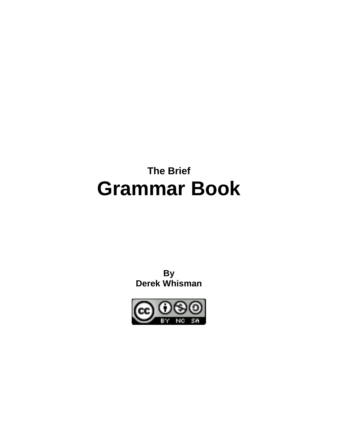# **The Brief Grammar Book**

**By Derek Whisman**

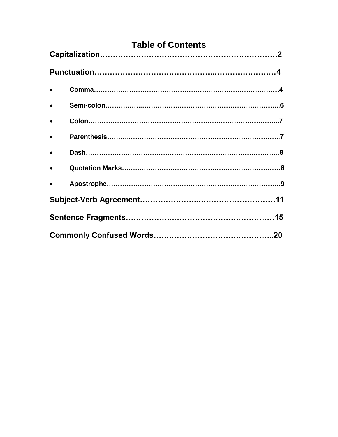# **Table of Contents**

| $\bullet$ |  |  |
|-----------|--|--|
| $\bullet$ |  |  |
| $\bullet$ |  |  |
| $\bullet$ |  |  |
| $\bullet$ |  |  |
| $\bullet$ |  |  |
| $\bullet$ |  |  |
|           |  |  |
|           |  |  |
|           |  |  |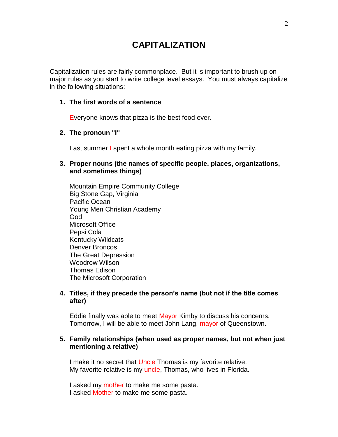# **CAPITALIZATION**

Capitalization rules are fairly commonplace. But it is important to brush up on major rules as you start to write college level essays. You must always capitalize in the following situations:

#### **1. The first words of a sentence**

Everyone knows that pizza is the best food ever.

#### **2. The pronoun "I"**

Last summer I spent a whole month eating pizza with my family.

#### **3. Proper nouns (the names of specific people, places, organizations, and sometimes things)**

Mountain Empire Community College Big Stone Gap, Virginia Pacific Ocean Young Men Christian Academy God Microsoft Office Pepsi Cola Kentucky Wildcats Denver Broncos The Great Depression Woodrow Wilson Thomas Edison The Microsoft Corporation

#### **4. Titles, if they precede the person's name (but not if the title comes after)**

Eddie finally was able to meet Mayor Kimby to discuss his concerns. Tomorrow, I will be able to meet John Lang, mayor of Queenstown.

#### **5. Family relationships (when used as proper names, but not when just mentioning a relative)**

I make it no secret that Uncle Thomas is my favorite relative. My favorite relative is my uncle, Thomas, who lives in Florida.

I asked my mother to make me some pasta. I asked Mother to make me some pasta.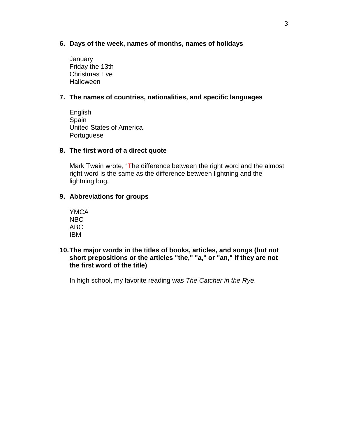- **6. Days of the week, names of months, names of holidays**
	- **January** Friday the 13th Christmas Eve **Halloween**

#### **7. The names of countries, nationalities, and specific languages**

English Spain United States of America **Portuguese** 

#### **8. The first word of a direct quote**

Mark Twain wrote, "The difference between the right word and the almost right word is the same as the difference between lightning and the lightning bug.

#### **9. Abbreviations for groups**

YMCA NBC ABC IBM

#### **10.The major words in the titles of books, articles, and songs (but not short prepositions or the articles "the," "a," or "an," if they are not the first word of the title)**

In high school, my favorite reading was *The Catcher in the Rye*.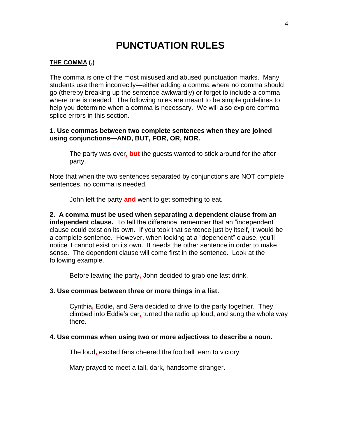# **PUNCTUATION RULES**

#### **THE COMMA (,)**

The comma is one of the most misused and abused punctuation marks. Many students use them incorrectly—either adding a comma where no comma should go (thereby breaking up the sentence awkwardly) or forget to include a comma where one is needed. The following rules are meant to be simple guidelines to help you determine when a comma is necessary. We will also explore comma splice errors in this section.

#### **1. Use commas between two complete sentences when they are joined using conjunctions—AND, BUT, FOR, OR, NOR.**

The party was over**, but** the guests wanted to stick around for the after party.

Note that when the two sentences separated by conjunctions are NOT complete sentences, no comma is needed.

John left the party **and** went to get something to eat.

**2. A comma must be used when separating a dependent clause from an independent clause.** To tell the difference, remember that an "independent" clause could exist on its own. If you took that sentence just by itself, it would be a complete sentence. However, when looking at a "dependent" clause, you'll notice it cannot exist on its own. It needs the other sentence in order to make sense. The dependent clause will come first in the sentence. Look at the following example.

Before leaving the party**,** John decided to grab one last drink.

#### **3. Use commas between three or more things in a list.**

Cynthia**,** Eddie**,** and Sera decided to drive to the party together. They climbed into Eddie's car**,** turned the radio up loud**,** and sung the whole way there.

#### **4. Use commas when using two or more adjectives to describe a noun.**

The loud**,** excited fans cheered the football team to victory.

Mary prayed to meet a tall**,** dark**,** handsome stranger.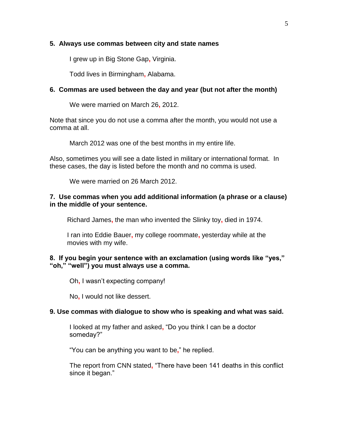#### **5. Always use commas between city and state names**

I grew up in Big Stone Gap**,** Virginia.

Todd lives in Birmingham**,** Alabama.

#### **6. Commas are used between the day and year (but not after the month)**

We were married on March 26**,** 2012.

Note that since you do not use a comma after the month, you would not use a comma at all.

March 2012 was one of the best months in my entire life.

Also, sometimes you will see a date listed in military or international format. In these cases, the day is listed before the month and no comma is used.

We were married on 26 March 2012.

#### **7. Use commas when you add additional information (a phrase or a clause) in the middle of your sentence.**

Richard James**,** the man who invented the Slinky toy**,** died in 1974.

I ran into Eddie Bauer**,** my college roommate**,** yesterday while at the movies with my wife.

#### **8. If you begin your sentence with an exclamation (using words like "yes," "oh," "well") you must always use a comma.**

Oh**,** I wasn't expecting company!

No**,** I would not like dessert.

#### **9. Use commas with dialogue to show who is speaking and what was said.**

I looked at my father and asked**,** "Do you think I can be a doctor someday?"

"You can be anything you want to be**,**" he replied.

The report from CNN stated**,** "There have been 141 deaths in this conflict since it began."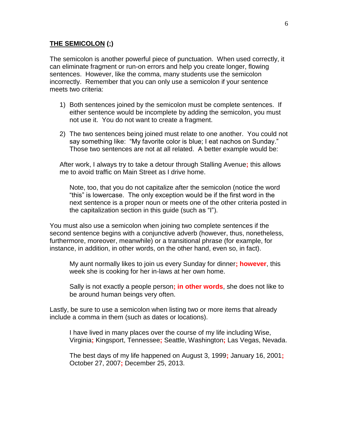#### **THE SEMICOLON (;)**

The semicolon is another powerful piece of punctuation. When used correctly, it can eliminate fragment or run-on errors and help you create longer, flowing sentences. However, like the comma, many students use the semicolon incorrectly. Remember that you can only use a semicolon if your sentence meets two criteria:

- 1) Both sentences joined by the semicolon must be complete sentences. If either sentence would be incomplete by adding the semicolon, you must not use it. You do not want to create a fragment.
- 2) The two sentences being joined must relate to one another. You could not say something like: "My favorite color is blue; I eat nachos on Sunday." Those two sentences are not at all related. A better example would be:

After work, I always try to take a detour through Stalling Avenue**;** this allows me to avoid traffic on Main Street as I drive home.

Note, too, that you do not capitalize after the semicolon (notice the word "this" is lowercase. The only exception would be if the first word in the next sentence is a proper noun or meets one of the other criteria posted in the capitalization section in this guide (such as "I").

You must also use a semicolon when joining two complete sentences if the second sentence begins with a conjunctive adverb (however, thus, nonetheless, furthermore, moreover, meanwhile) or a transitional phrase (for example, for instance, in addition, in other words, on the other hand, even so, in fact).

My aunt normally likes to join us every Sunday for dinner**; however**, this week she is cooking for her in-laws at her own home.

Sally is not exactly a people person**; in other words**, she does not like to be around human beings very often.

Lastly, be sure to use a semicolon when listing two or more items that already include a comma in them (such as dates or locations).

I have lived in many places over the course of my life including Wise, Virginia**;** Kingsport, Tennessee**;** Seattle, Washington**;** Las Vegas, Nevada.

The best days of my life happened on August 3, 1999**;** January 16, 2001**;**  October 27, 2007**;** December 25, 2013.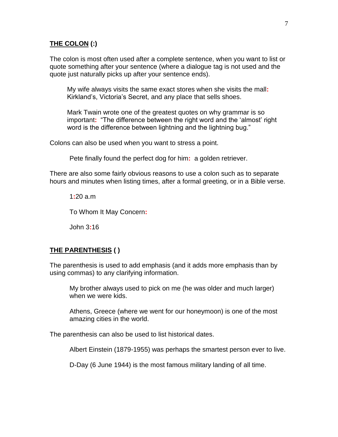#### **THE COLON (:)**

The colon is most often used after a complete sentence, when you want to list or quote something after your sentence (where a dialogue tag is not used and the quote just naturally picks up after your sentence ends).

My wife always visits the same exact stores when she visits the mall**:** Kirkland's, Victoria's Secret, and any place that sells shoes.

Mark Twain wrote one of the greatest quotes on why grammar is so important**:** "The difference between the right word and the 'almost' right word is the difference between lightning and the lightning bug."

Colons can also be used when you want to stress a point.

Pete finally found the perfect dog for him**:** a golden retriever.

There are also some fairly obvious reasons to use a colon such as to separate hours and minutes when listing times, after a formal greeting, or in a Bible verse.

1**:**20 a.m To Whom It May Concern**:**

John 3**:**16

#### **THE PARENTHESIS ( )**

The parenthesis is used to add emphasis (and it adds more emphasis than by using commas) to any clarifying information.

My brother always used to pick on me (he was older and much larger) when we were kids.

Athens, Greece (where we went for our honeymoon) is one of the most amazing cities in the world.

The parenthesis can also be used to list historical dates.

Albert Einstein (1879-1955) was perhaps the smartest person ever to live.

D-Day (6 June 1944) is the most famous military landing of all time.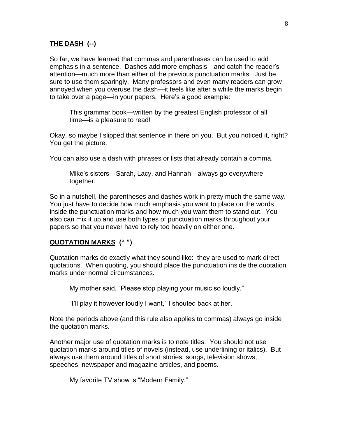#### **THE DASH (--)**

So far, we have learned that commas and parentheses can be used to add emphasis in a sentence. Dashes add more emphasis—and catch the reader's attention—much more than either of the previous punctuation marks. Just be sure to use them sparingly. Many professors and even many readers can grow annoyed when you overuse the dash—it feels like after a while the marks begin to take over a page—in your papers. Here's a good example:

This grammar book—written by the greatest English professor of all time—is a pleasure to read!

Okay, so maybe I slipped that sentence in there on you. But you noticed it, right? You get the picture.

You can also use a dash with phrases or lists that already contain a comma.

Mike's sisters—Sarah, Lacy, and Hannah—always go everywhere together.

So in a nutshell, the parentheses and dashes work in pretty much the same way. You just have to decide how much emphasis you want to place on the words inside the punctuation marks and how much you want them to stand out. You also can mix it up and use both types of punctuation marks throughout your papers so that you never have to rely too heavily on either one.

#### **QUOTATION MARKS (" ")**

Quotation marks do exactly what they sound like: they are used to mark direct quotations. When quoting, you should place the punctuation inside the quotation marks under normal circumstances.

My mother said, "Please stop playing your music so loudly."

"I'll play it however loudly I want," I shouted back at her.

Note the periods above (and this rule also applies to commas) always go inside the quotation marks.

Another major use of quotation marks is to note titles. You should not use quotation marks around titles of novels (instead, use underlining or italics). But always use them around titles of short stories, songs, television shows, speeches, newspaper and magazine articles, and poems.

My favorite TV show is "Modern Family."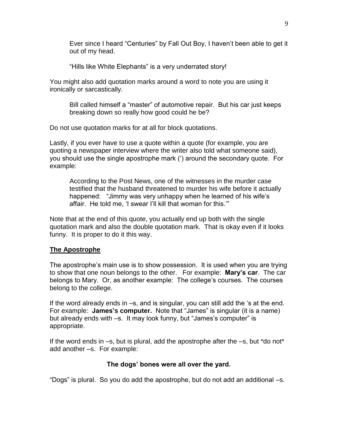Ever since I heard "Centuries" by Fall Out Boy, I haven't been able to get it out of my head.

"Hills like White Elephants" is a very underrated story!

You might also add quotation marks around a word to note you are using it ironically or sarcastically.

Bill called himself a "master" of automotive repair. But his car just keeps breaking down so really how good could he be?

Do not use quotation marks for at all for block quotations.

Lastly, if you ever have to use a quote within a quote (for example, you are quoting a newspaper interview where the writer also told what someone said), you should use the single apostrophe mark (') around the secondary quote. For example:

According to the Post News, one of the witnesses in the murder case testified that the husband threatened to murder his wife before it actually happened: "Jimmy was very unhappy when he learned of his wife's affair. He told me, 'I swear I'll kill that woman for this.'"

Note that at the end of this quote, you actually end up both with the single quotation mark and also the double quotation mark. That is okay even if it looks funny. It is proper to do it this way.

#### **The Apostrophe**

The apostrophe's main use is to show possession. It is used when you are trying to show that one noun belongs to the other. For example: **Mary's car**. The car belongs to Mary. Or, as another example: The college's courses. The courses belong to the college.

If the word already ends in –s, and is singular, you can still add the 's at the end. For example: **James's computer.** Note that "James" is singular (it is a name) but already ends with –s. It may look funny, but "James's computer" is appropriate.

If the word ends in –s, but is plural, add the apostrophe after the –s, but \*do not\* add another –s. For example:

#### **The dogs' bones were all over the yard.**

"Dogs" is plural. So you do add the apostrophe, but do not add an additional –s.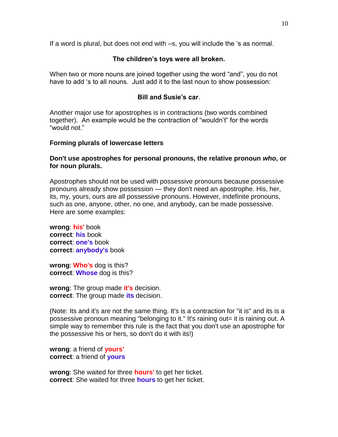If a word is plural, but does not end with –s, you will include the 's as normal.

#### **The children's toys were all broken.**

When two or more nouns are joined together using the word "and", you do not have to add 's to all nouns. Just add it to the last noun to show possession:

#### **Bill and Susie's car**.

Another major use for apostrophes is in contractions (two words combined together). An example would be the contraction of "wouldn't" for the words "would not."

#### **Forming plurals of lowercase letters**

#### **Don't use apostrophes for personal pronouns, the relative pronoun** *who***, or for noun plurals.**

Apostrophes should not be used with possessive pronouns because possessive pronouns already show possession — they don't need an apostrophe. His, her, its, my, yours, ours are all possessive pronouns. However, indefinite pronouns, such as one, anyone, other, no one, and anybody, can be made possessive. Here are some examples:

**wrong**: **his'** book **correct**: **his** book **correct**: **one's** book **correct**: **anybody's** book

**wrong**: **Who's** dog is this? **correct**: **Whose** dog is this?

**wrong**: The group made **it's** decision. **correct**: The group made **its** decision.

(Note: Its and it's are not the same thing. It's is a contraction for "it is" and its is a possessive pronoun meaning "belonging to it." It's raining out= it is raining out. A simple way to remember this rule is the fact that you don't use an apostrophe for the possessive his or hers, so don't do it with its!)

**wrong**: a friend of **yours' correct**: a friend of **yours**

**wrong**: She waited for three **hours'** to get her ticket. **correct**: She waited for three **hours** to get her ticket.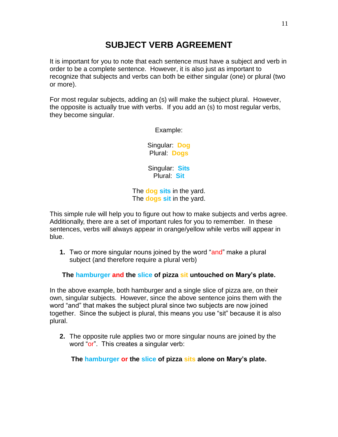# **SUBJECT VERB AGREEMENT**

It is important for you to note that each sentence must have a subject and verb in order to be a complete sentence. However, it is also just as important to recognize that subjects and verbs can both be either singular (one) or plural (two or more).

For most regular subjects, adding an (s) will make the subject plural. However, the opposite is actually true with verbs. If you add an (s) to most regular verbs, they become singular.

Example:

Singular: **Dog** Plural: **Dogs**

Singular: **Sits** Plural: **Sit**

The **dog sits** in the yard. The **dogs sit** in the yard.

This simple rule will help you to figure out how to make subjects and verbs agree. Additionally, there are a set of important rules for you to remember. In these sentences, verbs will always appear in orange/yellow while verbs will appear in blue.

**1.** Two or more singular nouns joined by the word "and" make a plural subject (and therefore require a plural verb)

**The hamburger and the slice of pizza sit untouched on Mary's plate.**

In the above example, both hamburger and a single slice of pizza are, on their own, singular subjects. However, since the above sentence joins them with the word "and" that makes the subject plural since two subjects are now joined together. Since the subject is plural, this means you use "sit" because it is also plural.

**2.** The opposite rule applies two or more singular nouns are joined by the word "or". This creates a singular verb:

**The hamburger or the slice of pizza sits alone on Mary's plate.**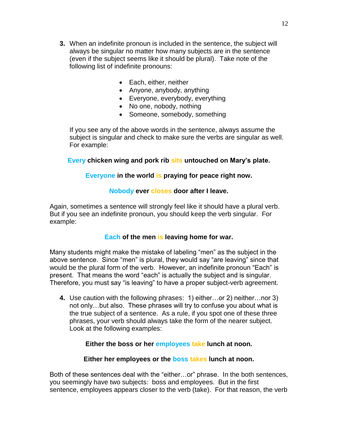- **3.** When an indefinite pronoun is included in the sentence, the subject will always be singular no matter how many subjects are in the sentence (even if the subject seems like it should be plural). Take note of the following list of indefinite pronouns:
	- Each, either, neither
	- Anyone, anybody, anything
	- Everyone, everybody, everything
	- No one, nobody, nothing
	- Someone, somebody, something

If you see any of the above words in the sentence, always assume the subject is singular and check to make sure the verbs are singular as well. For example:

#### **Every chicken wing and pork rib sits untouched on Mary's plate.**

#### **Everyone in the world is praying for peace right now.**

#### **Nobody ever closes door after I leave.**

Again, sometimes a sentence will strongly feel like it should have a plural verb. But if you see an indefinite pronoun, you should keep the verb singular. For example:

#### **Each of the men is leaving home for war.**

Many students might make the mistake of labeling "men" as the subject in the above sentence. Since "men" is plural, they would say "are leaving" since that would be the plural form of the verb. However, an indefinite pronoun "Each" is present. That means the word "each" is actually the subject and is singular. Therefore, you must say "is leaving" to have a proper subject-verb agreement.

**4.** Use caution with the following phrases: 1) either…or 2) neither…nor 3) not only…but also. These phrases will try to confuse you about what is the true subject of a sentence. As a rule, if you spot one of these three phrases, your verb should always take the form of the nearer subject. Look at the following examples:

#### **Either the boss or her employees take lunch at noon.**

#### **Either her employees or the boss takes lunch at noon.**

Both of these sentences deal with the "either…or" phrase. In the both sentences, you seemingly have two subjects: boss and employees. But in the first sentence, employees appears closer to the verb (take). For that reason, the verb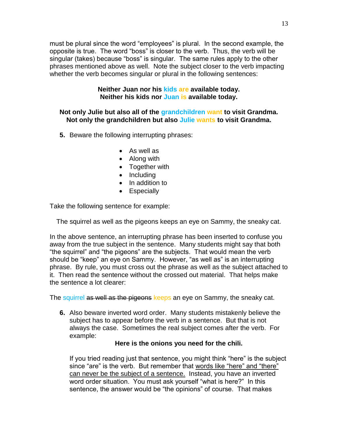must be plural since the word "employees" is plural. In the second example, the opposite is true. The word "boss" is closer to the verb. Thus, the verb will be singular (takes) because "boss" is singular. The same rules apply to the other phrases mentioned above as well. Note the subject closer to the verb impacting whether the verb becomes singular or plural in the following sentences:

#### **Neither Juan nor his kids are available today. Neither his kids nor Juan is available today.**

#### **Not only Julie but also all of the grandchildren want to visit Grandma. Not only the grandchildren but also Julie wants to visit Grandma.**

- **5.** Beware the following interrupting phrases:
	- As well as
	- Along with
	- Together with
	- Including
	- In addition to
	- Especially

Take the following sentence for example:

The squirrel as well as the pigeons keeps an eye on Sammy, the sneaky cat.

In the above sentence, an interrupting phrase has been inserted to confuse you away from the true subject in the sentence. Many students might say that both "the squirrel" and "the pigeons" are the subjects. That would mean the verb should be "keep" an eye on Sammy. However, "as well as" is an interrupting phrase. By rule, you must cross out the phrase as well as the subject attached to it. Then read the sentence without the crossed out material. That helps make the sentence a lot clearer:

The squirrel as well as the pigeons keeps an eye on Sammy, the sneaky cat.

**6.** Also beware inverted word order. Many students mistakenly believe the subject has to appear before the verb in a sentence. But that is not always the case. Sometimes the real subject comes after the verb. For example:

#### **Here is the onions you need for the chili.**

If you tried reading just that sentence, you might think "here" is the subject since "are" is the verb. But remember that words like "here" and "there" can never be the subject of a sentence. Instead, you have an inverted word order situation. You must ask yourself "what is here?" In this sentence, the answer would be "the opinions" of course. That makes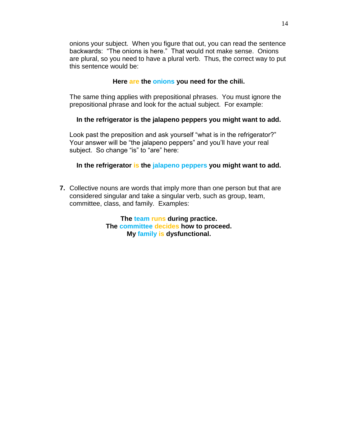onions your subject. When you figure that out, you can read the sentence backwards: "The onions is here." That would not make sense. Onions are plural, so you need to have a plural verb. Thus, the correct way to put this sentence would be:

#### **Here are the onions you need for the chili.**

The same thing applies with prepositional phrases. You must ignore the prepositional phrase and look for the actual subject. For example:

#### **In the refrigerator is the jalapeno peppers you might want to add.**

Look past the preposition and ask yourself "what is in the refrigerator?" Your answer will be "the jalapeno peppers" and you'll have your real subject. So change "is" to "are" here:

#### **In the refrigerator is the jalapeno peppers you might want to add.**

**7.** Collective nouns are words that imply more than one person but that are considered singular and take a singular verb, such as group, team, committee, class, and family. Examples:

> **The team runs during practice. The committee decides how to proceed. My family is dysfunctional.**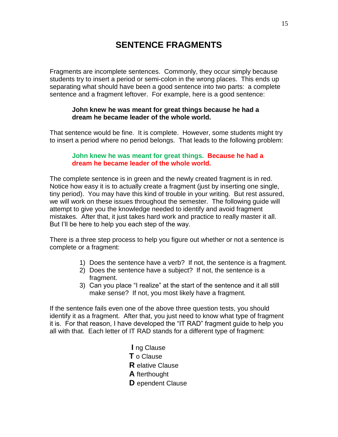# **SENTENCE FRAGMENTS**

Fragments are incomplete sentences. Commonly, they occur simply because students try to insert a period or semi-colon in the wrong places. This ends up separating what should have been a good sentence into two parts: a complete sentence and a fragment leftover. For example, here is a good sentence:

#### **John knew he was meant for great things because he had a dream he became leader of the whole world.**

That sentence would be fine. It is complete. However, some students might try to insert a period where no period belongs. That leads to the following problem:

#### **John knew he was meant for great things. Because he had a dream he became leader of the whole world.**

The complete sentence is in green and the newly created fragment is in red. Notice how easy it is to actually create a fragment (just by inserting one single, tiny period). You may have this kind of trouble in your writing. But rest assured, we will work on these issues throughout the semester. The following guide will attempt to give you the knowledge needed to identify and avoid fragment mistakes. After that, it just takes hard work and practice to really master it all. But I'll be here to help you each step of the way.

There is a three step process to help you figure out whether or not a sentence is complete or a fragment:

- 1) Does the sentence have a verb? If not, the sentence is a fragment.
- 2) Does the sentence have a subject? If not, the sentence is a fragment.
- 3) Can you place "I realize" at the start of the sentence and it all still make sense? If not, you most likely have a fragment.

If the sentence fails even one of the above three question tests, you should identify it as a fragment. After that, you just need to know what type of fragment it is. For that reason, I have developed the "IT RAD" fragment guide to help you all with that. Each letter of IT RAD stands for a different type of fragment:

> **I** ng Clause **T** o Clause **R** elative Clause **A** fterthought **D** ependent Clause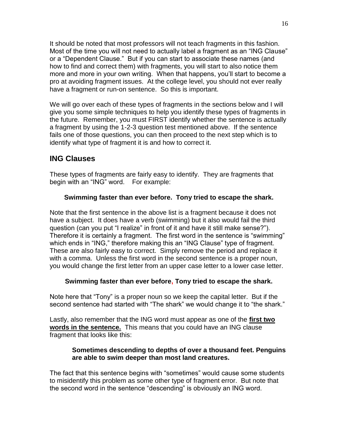It should be noted that most professors will not teach fragments in this fashion. Most of the time you will not need to actually label a fragment as an "ING Clause" or a "Dependent Clause." But if you can start to associate these names (and how to find and correct them) with fragments, you will start to also notice them more and more in your own writing. When that happens, you'll start to become a pro at avoiding fragment issues. At the college level, you should not ever really have a fragment or run-on sentence. So this is important.

We will go over each of these types of fragments in the sections below and I will give you some simple techniques to help you identify these types of fragments in the future. Remember, you must FIRST identify whether the sentence is actually a fragment by using the 1-2-3 question test mentioned above. If the sentence fails one of those questions, you can then proceed to the next step which is to identify what type of fragment it is and how to correct it.

## **ING Clauses**

These types of fragments are fairly easy to identify. They are fragments that begin with an "ING" word. For example:

#### **Swimming faster than ever before. Tony tried to escape the shark.**

Note that the first sentence in the above list is a fragment because it does not have a subject. It does have a verb (swimming) but it also would fail the third question (can you put "I realize" in front of it and have it still make sense?"). Therefore it is certainly a fragment. The first word in the sentence is "swimming" which ends in "ING," therefore making this an "ING Clause" type of fragment. These are also fairly easy to correct. Simply remove the period and replace it with a comma. Unless the first word in the second sentence is a proper noun, you would change the first letter from an upper case letter to a lower case letter.

#### **Swimming faster than ever before, Tony tried to escape the shark.**

Note here that "Tony" is a proper noun so we keep the capital letter. But if the second sentence had started with "The shark" we would change it to "the shark."

Lastly, also remember that the ING word must appear as one of the **first two words in the sentence.** This means that you could have an ING clause fragment that looks like this:

#### **Sometimes descending to depths of over a thousand feet. Penguins are able to swim deeper than most land creatures.**

The fact that this sentence begins with "sometimes" would cause some students to misidentify this problem as some other type of fragment error. But note that the second word in the sentence "descending" is obviously an ING word.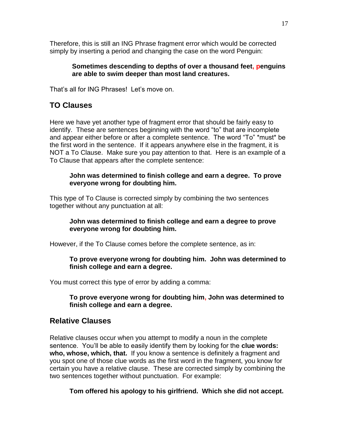Therefore, this is still an ING Phrase fragment error which would be corrected simply by inserting a period and changing the case on the word Penguin:

#### **Sometimes descending to depths of over a thousand feet, penguins are able to swim deeper than most land creatures.**

That's all for ING Phrases! Let's move on.

## **TO Clauses**

Here we have yet another type of fragment error that should be fairly easy to identify. These are sentences beginning with the word "to" that are incomplete and appear either before or after a complete sentence. The word "To" \*must\* be the first word in the sentence. If it appears anywhere else in the fragment, it is NOT a To Clause. Make sure you pay attention to that. Here is an example of a To Clause that appears after the complete sentence:

#### **John was determined to finish college and earn a degree. To prove everyone wrong for doubting him.**

This type of To Clause is corrected simply by combining the two sentences together without any punctuation at all:

#### **John was determined to finish college and earn a degree to prove everyone wrong for doubting him.**

However, if the To Clause comes before the complete sentence, as in:

#### **To prove everyone wrong for doubting him. John was determined to finish college and earn a degree.**

You must correct this type of error by adding a comma:

#### **To prove everyone wrong for doubting him, John was determined to finish college and earn a degree.**

## **Relative Clauses**

Relative clauses occur when you attempt to modify a noun in the complete sentence. You'll be able to easily identify them by looking for the **clue words: who, whose, which, that.** If you know a sentence is definitely a fragment and you spot one of those clue words as the first word in the fragment, you know for certain you have a relative clause. These are corrected simply by combining the two sentences together without punctuation. For example:

**Tom offered his apology to his girlfriend. Which she did not accept.**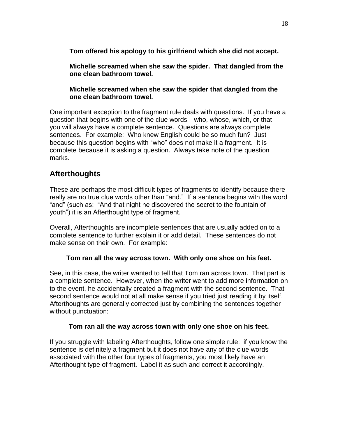**Tom offered his apology to his girlfriend which she did not accept.** 

**Michelle screamed when she saw the spider. That dangled from the one clean bathroom towel.**

**Michelle screamed when she saw the spider that dangled from the one clean bathroom towel.**

One important exception to the fragment rule deals with questions. If you have a question that begins with one of the clue words—who, whose, which, or that you will always have a complete sentence. Questions are always complete sentences. For example: Who knew English could be so much fun? Just because this question begins with "who" does not make it a fragment. It is complete because it is asking a question. Always take note of the question marks.

## **Afterthoughts**

These are perhaps the most difficult types of fragments to identify because there really are no true clue words other than "and." If a sentence begins with the word "and" (such as: "And that night he discovered the secret to the fountain of youth") it is an Afterthought type of fragment.

Overall, Afterthoughts are incomplete sentences that are usually added on to a complete sentence to further explain it or add detail. These sentences do not make sense on their own. For example:

#### **Tom ran all the way across town. With only one shoe on his feet.**

See, in this case, the writer wanted to tell that Tom ran across town. That part is a complete sentence. However, when the writer went to add more information on to the event, he accidentally created a fragment with the second sentence. That second sentence would not at all make sense if you tried just reading it by itself. Afterthoughts are generally corrected just by combining the sentences together without punctuation:

#### **Tom ran all the way across town with only one shoe on his feet.**

If you struggle with labeling Afterthoughts, follow one simple rule: if you know the sentence is definitely a fragment but it does not have any of the clue words associated with the other four types of fragments, you most likely have an Afterthought type of fragment. Label it as such and correct it accordingly.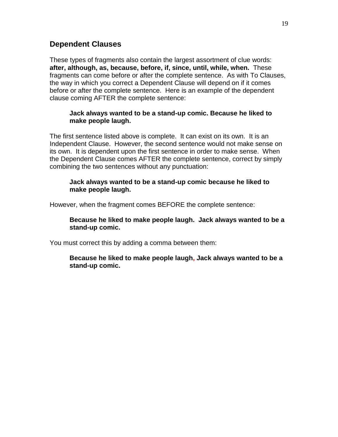### **Dependent Clauses**

These types of fragments also contain the largest assortment of clue words: **after, although, as, because, before, if, since, until, while, when.** These fragments can come before or after the complete sentence. As with To Clauses, the way in which you correct a Dependent Clause will depend on if it comes before or after the complete sentence. Here is an example of the dependent clause coming AFTER the complete sentence:

#### **Jack always wanted to be a stand-up comic. Because he liked to make people laugh.**

The first sentence listed above is complete. It can exist on its own. It is an Independent Clause. However, the second sentence would not make sense on its own. It is dependent upon the first sentence in order to make sense. When the Dependent Clause comes AFTER the complete sentence, correct by simply combining the two sentences without any punctuation:

#### **Jack always wanted to be a stand-up comic because he liked to make people laugh.**

However, when the fragment comes BEFORE the complete sentence:

#### **Because he liked to make people laugh. Jack always wanted to be a stand-up comic.**

You must correct this by adding a comma between them:

#### **Because he liked to make people laugh, Jack always wanted to be a stand-up comic.**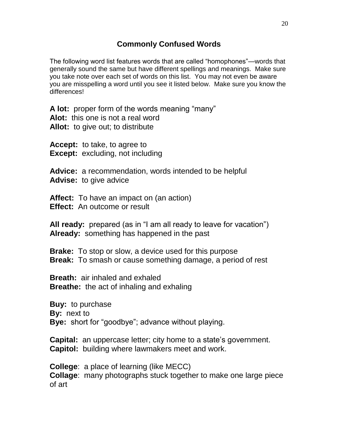The following word list features words that are called "homophones"—words that generally sound the same but have different spellings and meanings. Make sure you take note over each set of words on this list. You may not even be aware you are misspelling a word until you see it listed below. Make sure you know the differences!

**A lot:** proper form of the words meaning "many"

**Alot:** this one is not a real word

**Allot:** to give out; to distribute

**Accept:** to take, to agree to **Except:** excluding, not including

**Advice:** a recommendation, words intended to be helpful **Advise:** to give advice

**Affect:** To have an impact on (an action) **Effect:** An outcome or result

**All ready:** prepared (as in "I am all ready to leave for vacation") **Already:** something has happened in the past

**Brake:** To stop or slow, a device used for this purpose **Break:** To smash or cause something damage, a period of rest

**Breath:** air inhaled and exhaled **Breathe:** the act of inhaling and exhaling

**Buy:** to purchase **By:** next to **Bye:** short for "goodbye"; advance without playing.

**Capital:** an uppercase letter; city home to a state's government. **Capitol:** building where lawmakers meet and work.

**College**: a place of learning (like MECC) **Collage**: many photographs stuck together to make one large piece of art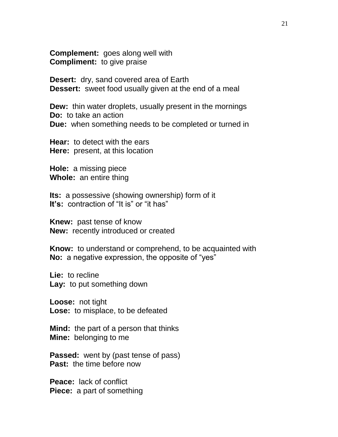**Complement:** goes along well with **Compliment:** to give praise

**Desert:** dry, sand covered area of Earth **Dessert:** sweet food usually given at the end of a meal

**Dew:** thin water droplets, usually present in the mornings **Do:** to take an action **Due:** when something needs to be completed or turned in

**Hear:** to detect with the ears **Here:** present, at this location

**Hole:** a missing piece **Whole:** an entire thing

**Its:** a possessive (showing ownership) form of it **It's:** contraction of "It is" or "it has"

**Knew:** past tense of know **New:** recently introduced or created

**Know:** to understand or comprehend, to be acquainted with **No:** a negative expression, the opposite of "yes"

**Lie:** to recline **Lay:** to put something down

**Loose:** not tight **Lose:** to misplace, to be defeated

**Mind:** the part of a person that thinks **Mine:** belonging to me

**Passed:** went by (past tense of pass) **Past:** the time before now

**Peace:** lack of conflict **Piece:** a part of something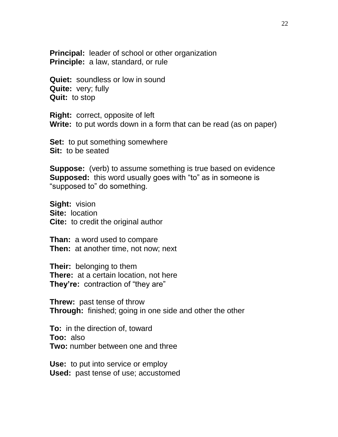**Principal:** leader of school or other organization **Principle:** a law, standard, or rule

**Quiet:** soundless or low in sound **Quite:** very; fully **Quit:** to stop

**Right:** correct, opposite of left **Write:** to put words down in a form that can be read (as on paper)

**Set:** to put something somewhere **Sit:** to be seated

**Suppose:** (verb) to assume something is true based on evidence **Supposed:** this word usually goes with "to" as in someone is "supposed to" do something.

**Sight:** vision **Site:** location **Cite:** to credit the original author

**Than:** a word used to compare **Then:** at another time, not now; next

**Their:** belonging to them **There:** at a certain location, not here **They're:** contraction of "they are"

**Threw:** past tense of throw **Through:** finished; going in one side and other the other

**To:** in the direction of, toward **Too:** also **Two:** number between one and three

**Use:** to put into service or employ **Used:** past tense of use; accustomed